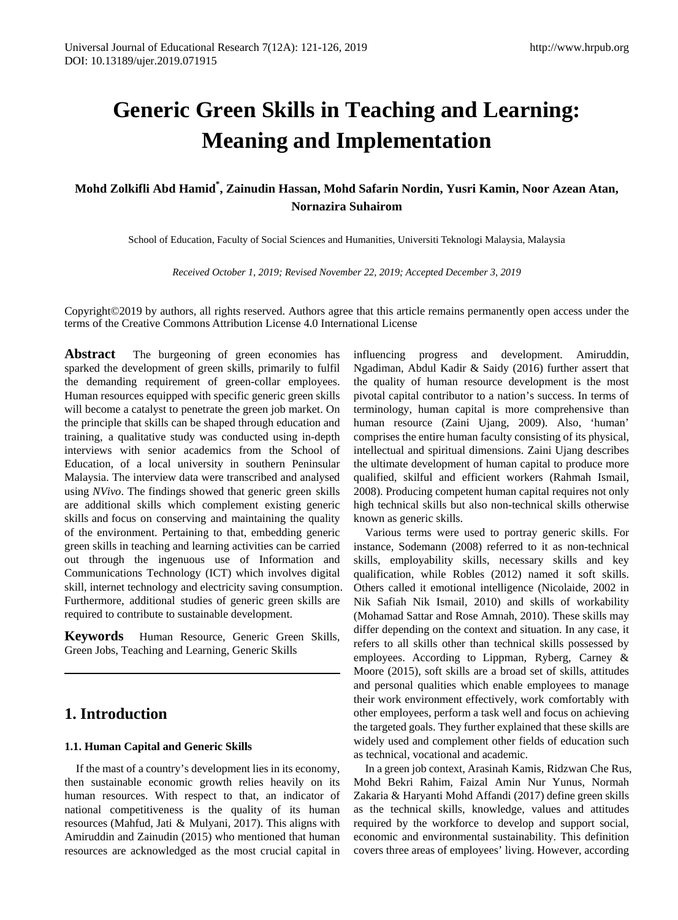# **Generic Green Skills in Teaching and Learning: Meaning and Implementation**

**Mohd Zolkifli Abd Hamid\* , Zainudin Hassan, Mohd Safarin Nordin, Yusri Kamin, Noor Azean Atan, Nornazira Suhairom**

School of Education, Faculty of Social Sciences and Humanities, Universiti Teknologi Malaysia, Malaysia

*Received October 1, 2019; Revised November 22, 2019; Accepted December 3, 2019*

Copyright©2019 by authors, all rights reserved. Authors agree that this article remains permanently open access under the terms of the Creative Commons Attribution License 4.0 International License

**Abstract** The burgeoning of green economies has sparked the development of green skills, primarily to fulfil the demanding requirement of green-collar employees. Human resources equipped with specific generic green skills will become a catalyst to penetrate the green job market. On the principle that skills can be shaped through education and training, a qualitative study was conducted using in-depth interviews with senior academics from the School of Education, of a local university in southern Peninsular Malaysia. The interview data were transcribed and analysed using *NVivo*. The findings showed that generic green skills are additional skills which complement existing generic skills and focus on conserving and maintaining the quality of the environment. Pertaining to that, embedding generic green skills in teaching and learning activities can be carried out through the ingenuous use of Information and Communications Technology (ICT) which involves digital skill, internet technology and electricity saving consumption. Furthermore, additional studies of generic green skills are required to contribute to sustainable development.

**Keywords** Human Resource, Generic Green Skills, Green Jobs, Teaching and Learning, Generic Skills

## **1. Introduction**

#### **1.1. Human Capital and Generic Skills**

If the mast of a country's development lies in its economy, then sustainable economic growth relies heavily on its human resources. With respect to that, an indicator of national competitiveness is the quality of its human resources (Mahfud, Jati & Mulyani, 2017). This aligns with Amiruddin and Zainudin (2015) who mentioned that human resources are acknowledged as the most crucial capital in

influencing progress and development. Amiruddin, Ngadiman, Abdul Kadir & Saidy (2016) further assert that the quality of human resource development is the most pivotal capital contributor to a nation's success. In terms of terminology, human capital is more comprehensive than human resource (Zaini Ujang, 2009). Also, 'human' comprises the entire human faculty consisting of its physical, intellectual and spiritual dimensions. Zaini Ujang describes the ultimate development of human capital to produce more qualified, skilful and efficient workers (Rahmah Ismail, 2008). Producing competent human capital requires not only high technical skills but also non-technical skills otherwise known as generic skills.

Various terms were used to portray generic skills. For instance, Sodemann (2008) referred to it as non-technical skills, employability skills, necessary skills and key qualification, while Robles (2012) named it soft skills. Others called it emotional intelligence (Nicolaide, 2002 in Nik Safiah Nik Ismail, 2010) and skills of workability (Mohamad Sattar and Rose Amnah, 2010). These skills may differ depending on the context and situation. In any case, it refers to all skills other than technical skills possessed by employees. According to Lippman, Ryberg, Carney & Moore (2015), soft skills are a broad set of skills, attitudes and personal qualities which enable employees to manage their work environment effectively, work comfortably with other employees, perform a task well and focus on achieving the targeted goals. They further explained that these skills are widely used and complement other fields of education such as technical, vocational and academic.

In a green job context, Arasinah Kamis, Ridzwan Che Rus, Mohd Bekri Rahim, Faizal Amin Nur Yunus, Normah Zakaria & Haryanti Mohd Affandi (2017) define green skills as the technical skills, knowledge, values and attitudes required by the workforce to develop and support social, economic and environmental sustainability. This definition covers three areas of employees' living. However, according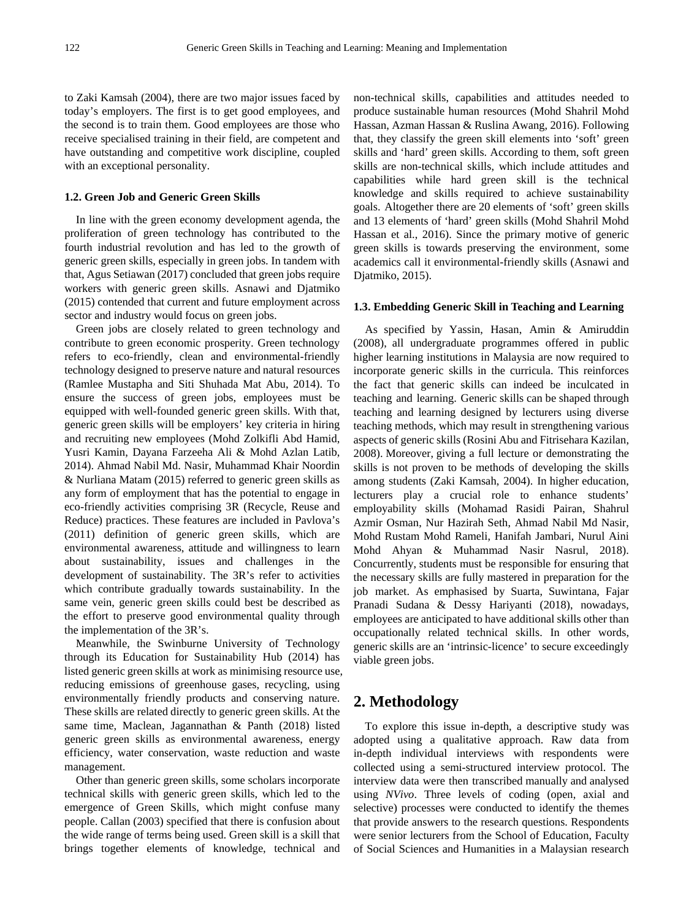to Zaki Kamsah (2004), there are two major issues faced by today's employers. The first is to get good employees, and the second is to train them. Good employees are those who receive specialised training in their field, are competent and have outstanding and competitive work discipline, coupled with an exceptional personality.

#### **1.2. Green Job and Generic Green Skills**

In line with the green economy development agenda, the proliferation of green technology has contributed to the fourth industrial revolution and has led to the growth of generic green skills, especially in green jobs. In tandem with that, Agus Setiawan (2017) concluded that green jobs require workers with generic green skills. Asnawi and Djatmiko (2015) contended that current and future employment across sector and industry would focus on green jobs.

Green jobs are closely related to green technology and contribute to green economic prosperity. Green technology refers to eco-friendly, clean and environmental-friendly technology designed to preserve nature and natural resources (Ramlee Mustapha and Siti Shuhada Mat Abu, 2014). To ensure the success of green jobs, employees must be equipped with well-founded generic green skills. With that, generic green skills will be employers' key criteria in hiring and recruiting new employees (Mohd Zolkifli Abd Hamid, Yusri Kamin, Dayana Farzeeha Ali & Mohd Azlan Latib, 2014). Ahmad Nabil Md. Nasir, Muhammad Khair Noordin & Nurliana Matam (2015) referred to generic green skills as any form of employment that has the potential to engage in eco-friendly activities comprising 3R (Recycle, Reuse and Reduce) practices. These features are included in Pavlova's (2011) definition of generic green skills, which are environmental awareness, attitude and willingness to learn about sustainability, issues and challenges in the development of sustainability. The 3R's refer to activities which contribute gradually towards sustainability. In the same vein, generic green skills could best be described as the effort to preserve good environmental quality through the implementation of the 3R's.

Meanwhile, the Swinburne University of Technology through its Education for Sustainability Hub (2014) has listed generic green skills at work as minimising resource use, reducing emissions of greenhouse gases, recycling, using environmentally friendly products and conserving nature. These skills are related directly to generic green skills. At the same time, Maclean, Jagannathan & Panth (2018) listed generic green skills as environmental awareness, energy efficiency, water conservation, waste reduction and waste management.

Other than generic green skills, some scholars incorporate technical skills with generic green skills, which led to the emergence of Green Skills, which might confuse many people. Callan (2003) specified that there is confusion about the wide range of terms being used. Green skill is a skill that brings together elements of knowledge, technical and non-technical skills, capabilities and attitudes needed to produce sustainable human resources (Mohd Shahril Mohd Hassan, Azman Hassan & Ruslina Awang, 2016). Following that, they classify the green skill elements into 'soft' green skills and 'hard' green skills. According to them, soft green skills are non-technical skills, which include attitudes and capabilities while hard green skill is the technical knowledge and skills required to achieve sustainability goals. Altogether there are 20 elements of 'soft' green skills and 13 elements of 'hard' green skills (Mohd Shahril Mohd Hassan et al., 2016). Since the primary motive of generic green skills is towards preserving the environment, some academics call it environmental-friendly skills (Asnawi and Djatmiko, 2015).

#### **1.3. Embedding Generic Skill in Teaching and Learning**

As specified by Yassin, Hasan, Amin & Amiruddin (2008), all undergraduate programmes offered in public higher learning institutions in Malaysia are now required to incorporate generic skills in the curricula. This reinforces the fact that generic skills can indeed be inculcated in teaching and learning. Generic skills can be shaped through teaching and learning designed by lecturers using diverse teaching methods, which may result in strengthening various aspects of generic skills (Rosini Abu and Fitrisehara Kazilan, 2008). Moreover, giving a full lecture or demonstrating the skills is not proven to be methods of developing the skills among students (Zaki Kamsah, 2004). In higher education, lecturers play a crucial role to enhance students' employability skills (Mohamad Rasidi Pairan, Shahrul Azmir Osman, Nur Hazirah Seth, Ahmad Nabil Md Nasir, Mohd Rustam Mohd Rameli, Hanifah Jambari, Nurul Aini Mohd Ahyan & Muhammad Nasir Nasrul, 2018). Concurrently, students must be responsible for ensuring that the necessary skills are fully mastered in preparation for the job market. As emphasised by Suarta, Suwintana, Fajar Pranadi Sudana & Dessy Hariyanti (2018), nowadays, employees are anticipated to have additional skills other than occupationally related technical skills. In other words, generic skills are an 'intrinsic-licence' to secure exceedingly viable green jobs.

## **2. Methodology**

To explore this issue in-depth, a descriptive study was adopted using a qualitative approach. Raw data from in-depth individual interviews with respondents were collected using a semi-structured interview protocol. The interview data were then transcribed manually and analysed using *NVivo*. Three levels of coding (open, axial and selective) processes were conducted to identify the themes that provide answers to the research questions. Respondents were senior lecturers from the School of Education, Faculty of Social Sciences and Humanities in a Malaysian research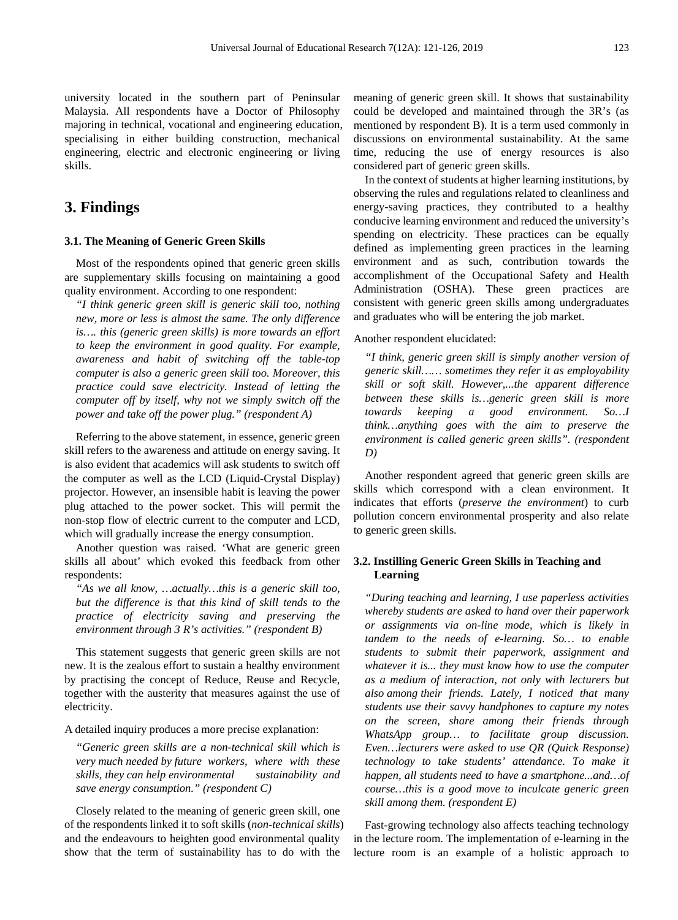university located in the southern part of Peninsular Malaysia. All respondents have a Doctor of Philosophy majoring in technical, vocational and engineering education, specialising in either building construction, mechanical engineering, electric and electronic engineering or living skills.

## **3. Findings**

#### **3.1. The Meaning of Generic Green Skills**

Most of the respondents opined that generic green skills are supplementary skills focusing on maintaining a good quality environment. According to one respondent:

*"I think generic green skill is generic skill too, nothing new, more or less is almost the same. The only difference is…. this (generic green skills) is more towards an effort to keep the environment in good quality. For example, awareness and habit of switching off the table-top computer is also a generic green skill too. Moreover, this practice could save electricity. Instead of letting the computer off by itself, why not we simply switch off the power and take off the power plug." (respondent A)*

Referring to the above statement, in essence, generic green skill refers to the awareness and attitude on energy saving. It is also evident that academics will ask students to switch off the computer as well as the LCD (Liquid-Crystal Display) projector. However, an insensible habit is leaving the power plug attached to the power socket. This will permit the non-stop flow of electric current to the computer and LCD, which will gradually increase the energy consumption.

Another question was raised. 'What are generic green skills all about' which evoked this feedback from other respondents:

*"As we all know, …actually…this is a generic skill too, but the difference is that this kind of skill tends to the practice of electricity saving and preserving the environment through 3 R's activities." (respondent B)*

This statement suggests that generic green skills are not new. It is the zealous effort to sustain a healthy environment by practising the concept of Reduce, Reuse and Recycle, together with the austerity that measures against the use of electricity.

A detailed inquiry produces a more precise explanation:

*"Generic green skills are a non-technical skill which is very much needed by future workers, where with these skills, they can help environmental sustainability and save energy consumption." (respondent C)*

Closely related to the meaning of generic green skill, one of the respondents linked it to soft skills (*non-technical skills*) and the endeavours to heighten good environmental quality show that the term of sustainability has to do with the

meaning of generic green skill. It shows that sustainability could be developed and maintained through the 3R's (as mentioned by respondent B). It is a term used commonly in discussions on environmental sustainability. At the same time, reducing the use of energy resources is also considered part of generic green skills.

In the context of students at higher learning institutions, by observing the rules and regulations related to cleanliness and energy-saving practices, they contributed to a healthy conducive learning environment and reduced the university's spending on electricity. These practices can be equally defined as implementing green practices in the learning environment and as such, contribution towards the accomplishment of the Occupational Safety and Health Administration (OSHA). These green practices are consistent with generic green skills among undergraduates and graduates who will be entering the job market.

Another respondent elucidated:

*"I think, generic green skill is simply another version of generic skill…… sometimes they refer it as employability skill or soft skill. However,...the apparent difference between these skills is…generic green skill is more towards keeping a good environment. So…I think…anything goes with the aim to preserve the environment is called generic green skills". (respondent D)*

Another respondent agreed that generic green skills are skills which correspond with a clean environment. It indicates that efforts (*preserve the environment*) to curb pollution concern environmental prosperity and also relate to generic green skills.

#### **3.2. Instilling Generic Green Skills in Teaching and Learning**

*"During teaching and learning, I use paperless activities whereby students are asked to hand over their paperwork or assignments via on-line mode, which is likely in tandem to the needs of e-learning. So… to enable students to submit their paperwork, assignment and whatever it is... they must know how to use the computer as a medium of interaction, not only with lecturers but also among their friends. Lately, I noticed that many students use their savvy handphones to capture my notes on the screen, share among their friends through WhatsApp group… to facilitate group discussion. Even…lecturers were asked to use QR (Quick Response) technology to take students' attendance. To make it happen, all students need to have a smartphone...and…of course…this is a good move to inculcate generic green skill among them. (respondent E)*

Fast-growing technology also affects teaching technology in the lecture room. The implementation of e-learning in the lecture room is an example of a holistic approach to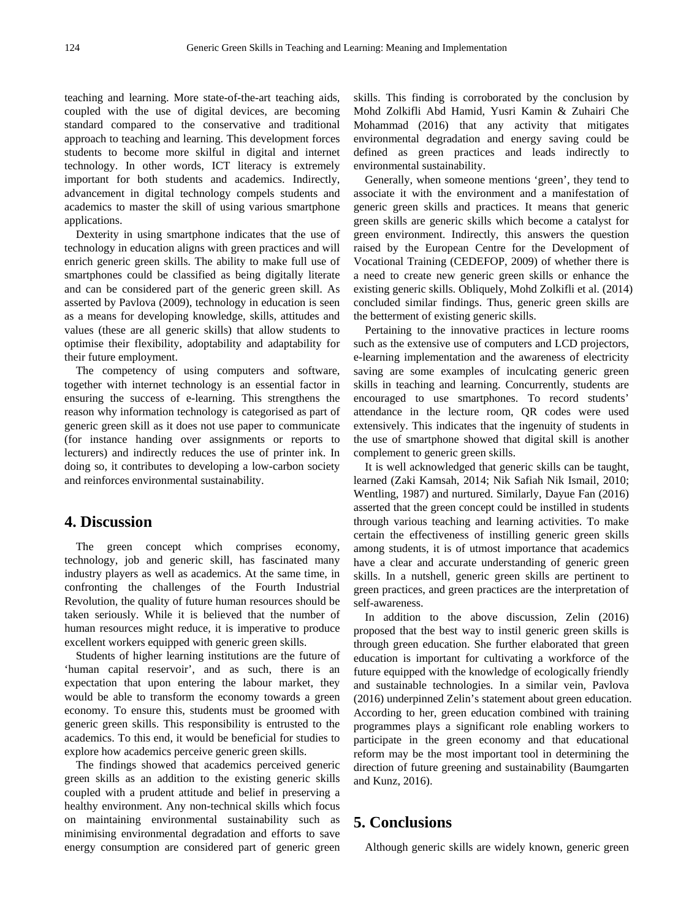teaching and learning. More state-of-the-art teaching aids, coupled with the use of digital devices, are becoming standard compared to the conservative and traditional approach to teaching and learning. This development forces students to become more skilful in digital and internet technology. In other words, ICT literacy is extremely important for both students and academics. Indirectly, advancement in digital technology compels students and academics to master the skill of using various smartphone applications.

Dexterity in using smartphone indicates that the use of technology in education aligns with green practices and will enrich generic green skills. The ability to make full use of smartphones could be classified as being digitally literate and can be considered part of the generic green skill. As asserted by Pavlova (2009), technology in education is seen as a means for developing knowledge, skills, attitudes and values (these are all generic skills) that allow students to optimise their flexibility, adoptability and adaptability for their future employment.

The competency of using computers and software, together with internet technology is an essential factor in ensuring the success of e-learning. This strengthens the reason why information technology is categorised as part of generic green skill as it does not use paper to communicate (for instance handing over assignments or reports to lecturers) and indirectly reduces the use of printer ink. In doing so, it contributes to developing a low-carbon society and reinforces environmental sustainability.

## **4. Discussion**

The green concept which comprises economy, technology, job and generic skill, has fascinated many industry players as well as academics. At the same time, in confronting the challenges of the Fourth Industrial Revolution, the quality of future human resources should be taken seriously. While it is believed that the number of human resources might reduce, it is imperative to produce excellent workers equipped with generic green skills.

Students of higher learning institutions are the future of 'human capital reservoir', and as such, there is an expectation that upon entering the labour market, they would be able to transform the economy towards a green economy. To ensure this, students must be groomed with generic green skills. This responsibility is entrusted to the academics. To this end, it would be beneficial for studies to explore how academics perceive generic green skills.

The findings showed that academics perceived generic green skills as an addition to the existing generic skills coupled with a prudent attitude and belief in preserving a healthy environment. Any non-technical skills which focus on maintaining environmental sustainability such as minimising environmental degradation and efforts to save energy consumption are considered part of generic green skills. This finding is corroborated by the conclusion by Mohd Zolkifli Abd Hamid, Yusri Kamin & Zuhairi Che Mohammad (2016) that any activity that mitigates environmental degradation and energy saving could be defined as green practices and leads indirectly to environmental sustainability.

Generally, when someone mentions 'green', they tend to associate it with the environment and a manifestation of generic green skills and practices. It means that generic green skills are generic skills which become a catalyst for green environment. Indirectly, this answers the question raised by the European Centre for the Development of Vocational Training (CEDEFOP, 2009) of whether there is a need to create new generic green skills or enhance the existing generic skills. Obliquely, Mohd Zolkifli et al. (2014) concluded similar findings. Thus, generic green skills are the betterment of existing generic skills.

Pertaining to the innovative practices in lecture rooms such as the extensive use of computers and LCD projectors, e-learning implementation and the awareness of electricity saving are some examples of inculcating generic green skills in teaching and learning. Concurrently, students are encouraged to use smartphones. To record students' attendance in the lecture room, QR codes were used extensively. This indicates that the ingenuity of students in the use of smartphone showed that digital skill is another complement to generic green skills.

It is well acknowledged that generic skills can be taught, learned (Zaki Kamsah, 2014; Nik Safiah Nik Ismail, 2010; Wentling, 1987) and nurtured. Similarly, Dayue Fan (2016) asserted that the green concept could be instilled in students through various teaching and learning activities. To make certain the effectiveness of instilling generic green skills among students, it is of utmost importance that academics have a clear and accurate understanding of generic green skills. In a nutshell, generic green skills are pertinent to green practices, and green practices are the interpretation of self-awareness.

In addition to the above discussion, Zelin (2016) proposed that the best way to instil generic green skills is through green education. She further elaborated that green education is important for cultivating a workforce of the future equipped with the knowledge of ecologically friendly and sustainable technologies. In a similar vein, Pavlova (2016) underpinned Zelin's statement about green education. According to her, green education combined with training programmes plays a significant role enabling workers to participate in the green economy and that educational reform may be the most important tool in determining the direction of future greening and sustainability (Baumgarten and Kunz, 2016).

## **5. Conclusions**

Although generic skills are widely known, generic green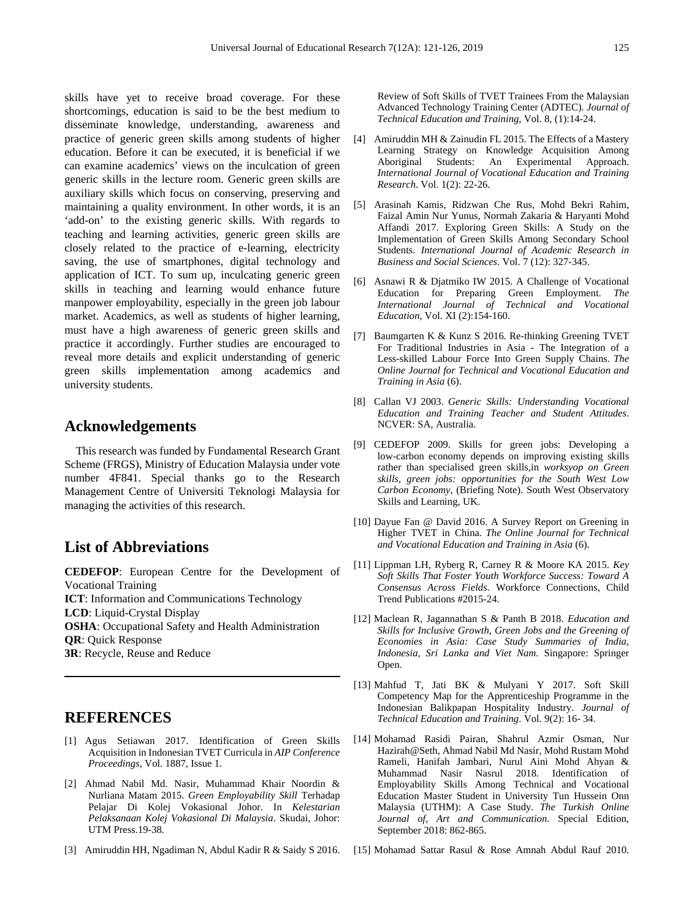skills have yet to receive broad coverage. For these shortcomings, education is said to be the best medium to disseminate knowledge, understanding, awareness and practice of generic green skills among students of higher education. Before it can be executed, it is beneficial if we can examine academics' views on the inculcation of green generic skills in the lecture room. Generic green skills are auxiliary skills which focus on conserving, preserving and maintaining a quality environment. In other words, it is an 'add-on' to the existing generic skills. With regards to teaching and learning activities, generic green skills are closely related to the practice of e-learning, electricity saving, the use of smartphones, digital technology and application of ICT. To sum up, inculcating generic green skills in teaching and learning would enhance future manpower employability, especially in the green job labour market. Academics, as well as students of higher learning, must have a high awareness of generic green skills and practice it accordingly. Further studies are encouraged to reveal more details and explicit understanding of generic green skills implementation among academics and university students.

### **Acknowledgements**

This research was funded by Fundamental Research Grant Scheme (FRGS), Ministry of Education Malaysia under vote number 4F841. Special thanks go to the Research Management Centre of Universiti Teknologi Malaysia for managing the activities of this research.

## **List of Abbreviations**

**CEDEFOP**: European Centre for the Development of Vocational Training **ICT**: Information and Communications Technology **LCD**: Liquid-Crystal Display **OSHA**: Occupational Safety and Health Administration **QR**: Quick Response **3R**: Recycle, Reuse and Reduce

## **REFERENCES**

- [1] Agus Setiawan 2017. Identification of Green Skills Acquisition in Indonesian TVET Curricula in *AIP Conference Proceedings*, Vol. 1887, Issue 1.
- [2] Ahmad Nabil Md. Nasir, Muhammad Khair Noordin & Nurliana Matam 2015. *Green Employability Skill* Terhadap Pelajar Di Kolej Vokasional Johor. In *Kelestarian Pelaksanaan Kolej Vokasional Di Malaysia*. Skudai, Johor: UTM Press.19-38.
- [3] Amiruddin HH, Ngadiman N, Abdul Kadir R & Saidy S 2016.

Review of Soft Skills of TVET Trainees From the Malaysian Advanced Technology Training Center (ADTEC). *Journal of Technical Education and Training*, Vol. 8, (1):14-24.

- [4] Amiruddin MH & Zainudin FL 2015. The Effects of a Mastery Learning Strategy on Knowledge Acquisition Among Aboriginal Students: An Experimental Approach. *International Journal of Vocational Education and Training Research*. Vol. 1(2): 22-26.
- [5] Arasinah Kamis, Ridzwan Che Rus, Mohd Bekri Rahim, Faizal Amin Nur Yunus, Normah Zakaria & Haryanti Mohd Affandi 2017. Exploring Green Skills: A Study on the Implementation of Green Skills Among Secondary School Students. *International Journal of Academic Research in Business and Social Sciences*. Vol. 7 (12): 327-345.
- [6] Asnawi R & Djatmiko IW 2015. A Challenge of Vocational Education for Preparing Green Employment. *The International Journal of Technical and Vocational Education*, Vol. XI (2):154-160.
- [7] Baumgarten K & Kunz S 2016. Re-thinking Greening TVET For Traditional Industries in Asia - The Integration of a Less-skilled Labour Force Into Green Supply Chains. *The Online Journal for Technical and Vocational Education and Training in Asia* (6).
- [8] Callan VJ 2003. *Generic Skills: Understanding Vocational Education and Training Teacher and Student Attitudes*. NCVER: SA, Australia.
- [9] CEDEFOP 2009. Skills for green jobs: Developing a low-carbon economy depends on improving existing skills rather than specialised green skills*,*in *worksyop on Green skills, green jobs: opportunities for the South West Low Carbon Economy*, (Briefing Note). South West Observatory Skills and Learning, UK.
- [10] Dayue Fan @ David 2016. A Survey Report on Greening in Higher TVET in China. *The Online Journal for Technical and Vocational Education and Training in Asia* (6).
- [11] Lippman LH, Ryberg R, Carney R & Moore KA 2015. *Key Soft Skills That Foster Youth Workforce Success: Toward A Consensus Across Fields*. Workforce Connections, Child Trend Publications #2015-24.
- [12] Maclean R, Jagannathan S & Panth B 2018. *Education and Skills for Inclusive Growth, Green Jobs and the Greening of Economies in Asia: Case Study Summaries of India, Indonesia, Sri Lanka and Viet Nam.* Singapore: Springer Open.
- [13] Mahfud T, Jati BK & Mulyani Y 2017. Soft Skill Competency Map for the Apprenticeship Programme in the Indonesian Balikpapan Hospitality Industry. *Journal of Technical Education and Training*. Vol. 9(2): 16- 34.
- [14] Mohamad Rasidi Pairan, Shahrul Azmir Osman, Nur Hazirah@Seth, Ahmad Nabil Md Nasir, Mohd Rustam Mohd Rameli, Hanifah Jambari, Nurul Aini Mohd Ahyan & Muhammad Nasir Nasrul 2018. Identification of Employability Skills Among Technical and Vocational Education Master Student in University Tun Hussein Onn Malaysia (UTHM): A Case Study. *The Turkish Online Journal of, Art and Communication*. Special Edition, September 2018: 862-865.
- [15] Mohamad Sattar Rasul & Rose Amnah Abdul Rauf 2010.